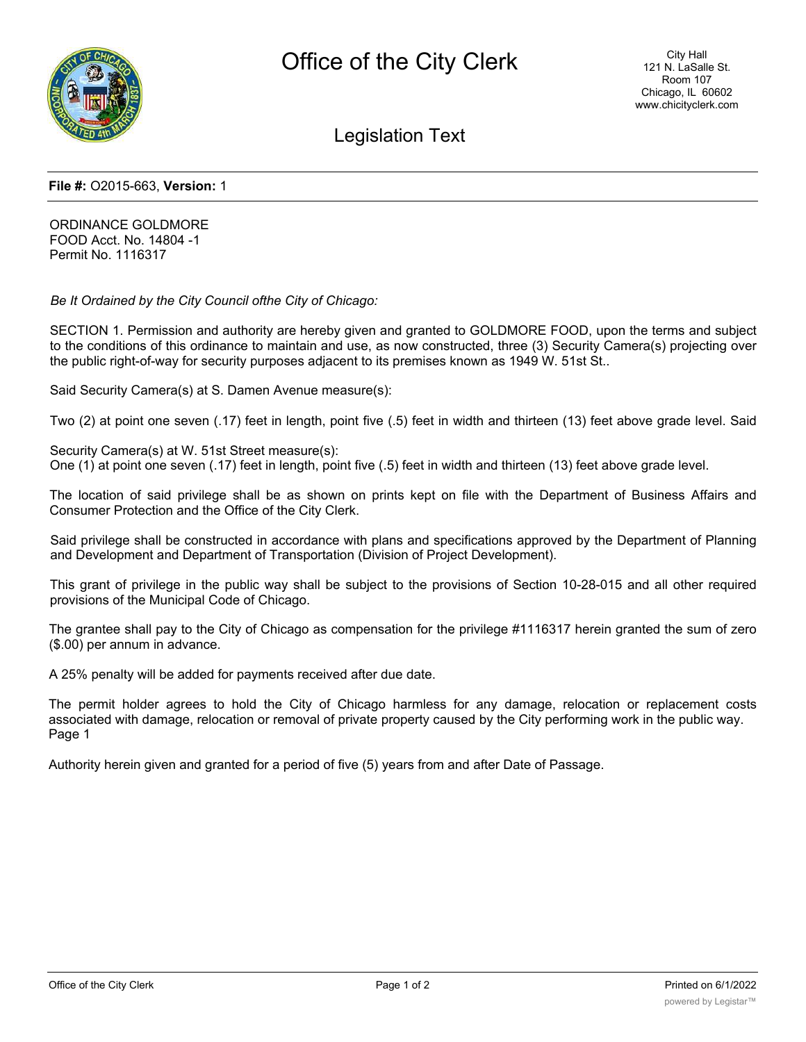

Legislation Text

## **File #:** O2015-663, **Version:** 1

ORDINANCE GOLDMORE FOOD Acct. No. 14804 -1 Permit No. 1116317

*Be It Ordained by the City Council ofthe City of Chicago:*

SECTION 1. Permission and authority are hereby given and granted to GOLDMORE FOOD, upon the terms and subject to the conditions of this ordinance to maintain and use, as now constructed, three (3) Security Camera(s) projecting over the public right-of-way for security purposes adjacent to its premises known as 1949 W. 51st St..

Said Security Camera(s) at S. Damen Avenue measure(s):

Two (2) at point one seven (.17) feet in length, point five (.5) feet in width and thirteen (13) feet above grade level. Said

Security Camera(s) at W. 51st Street measure(s): One (1) at point one seven (.17) feet in length, point five (.5) feet in width and thirteen (13) feet above grade level.

The location of said privilege shall be as shown on prints kept on file with the Department of Business Affairs and Consumer Protection and the Office of the City Clerk.

Said privilege shall be constructed in accordance with plans and specifications approved by the Department of Planning and Development and Department of Transportation (Division of Project Development).

This grant of privilege in the public way shall be subject to the provisions of Section 10-28-015 and all other required provisions of the Municipal Code of Chicago.

The grantee shall pay to the City of Chicago as compensation for the privilege #1116317 herein granted the sum of zero (\$.00) per annum in advance.

A 25% penalty will be added for payments received after due date.

The permit holder agrees to hold the City of Chicago harmless for any damage, relocation or replacement costs associated with damage, relocation or removal of private property caused by the City performing work in the public way. Page 1

Authority herein given and granted for a period of five (5) years from and after Date of Passage.